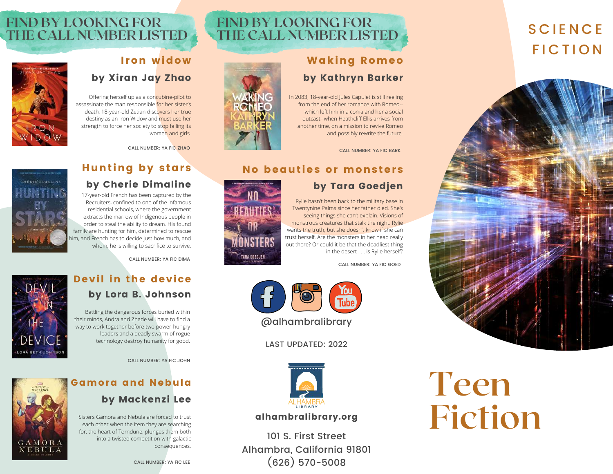#### **SCIENCE FICTION**



# **Teen**

### **Fiction**

#### **FIND BY LOOKING FOR THE CALL NUMBER LISTED**

#### Waking Romeo by Kathryn Barker

In 2083, 18-year-old Jules Capulet is still reeling from the end of her romance with Romeo- which left him in a coma and her a social outcast--when Heathcliff Ellis arrives from another time, on a mission to revive Romeo and possibly rewrite the future.

CALL NUMBER: YA FIC BARK

#### No beauties or monsters

#### by Tara Goedjen

Rylie hasn't been back to the military base in Twentynine Palms since her father died. She's seeing things she can't explain. Visions of monstrous creatures that stalk the night. Rylie wants the truth, but she doesn't know if she can trust herself. Are the monsters in her head really out there? Or could it be that the deadliest thing in the desert . . . is Rylie herself?

CALL NUMBER: YA FIC GOED



LAST UPDATED: 2022



#### alhambralibrary.org

101 S. First Street Alhambra, California 91801 (626) 570-5008

#### **FIND BY LOOKING FOR THE CALL NUMBER LISTED**

#### I ron widow by Xiran Jay Zhao

Offering herself up as a concubine-pilot to assassinate the man responsible for her sister's death, 18-year-old Zetian discovers her true destiny as an Iron Widow and must use her strength to force her society to stop failing its women and girls.

CALL NUMBER: YA FIC ZHAO

#### **Hunting by stars**

#### by Cherie Dimaline

17-year-old French has been captured by the Recruiters, confined to one of the infamous residential schools, where the government extracts the marrow of Indigenous people in order to steal the ability to dream. His found family are hunting for him, determined to rescue him, and French has to decide just how much, and whom, he is willing to sacrifice to survive.

CALL NUMBER: YA FIC DIMA

## **DEVA**

G A M O R A NEBULA

technology destroy humanity for good.

way to work together before two power-hungry leaders and a deadly swarm of rogue

CALL NUMBER: YA FIC JOHN

#### Gamora and Nebula by Mackenzi Lee

Sisters Gamora and Nebula are forced to trust each other when the item they are searching for, the heart of Torndune, plunges them both into a twisted competition with galactic consequences.





**TARA GOEDJEN**